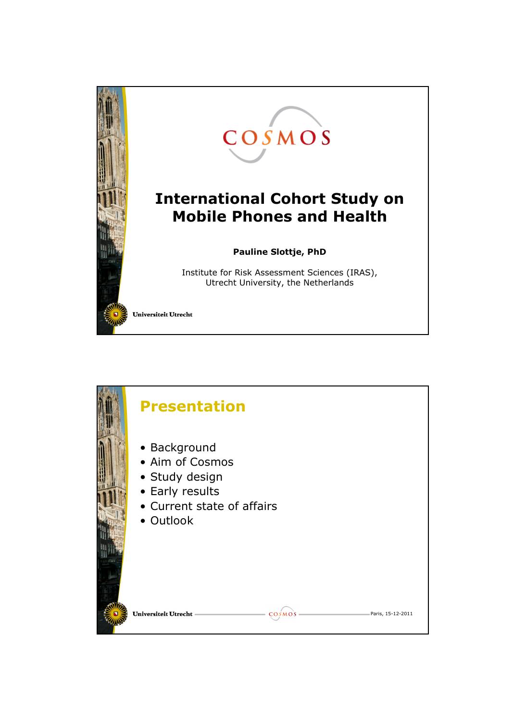

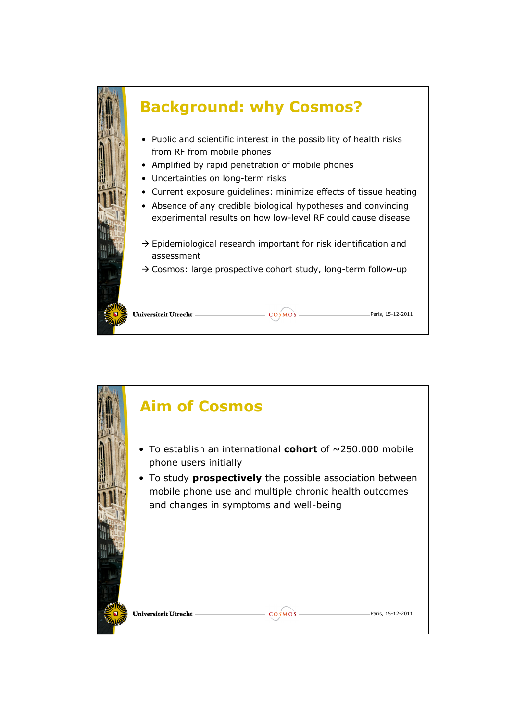

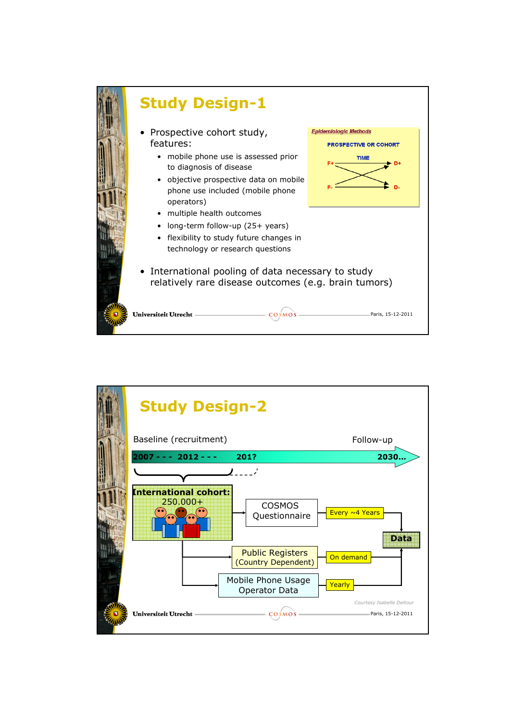

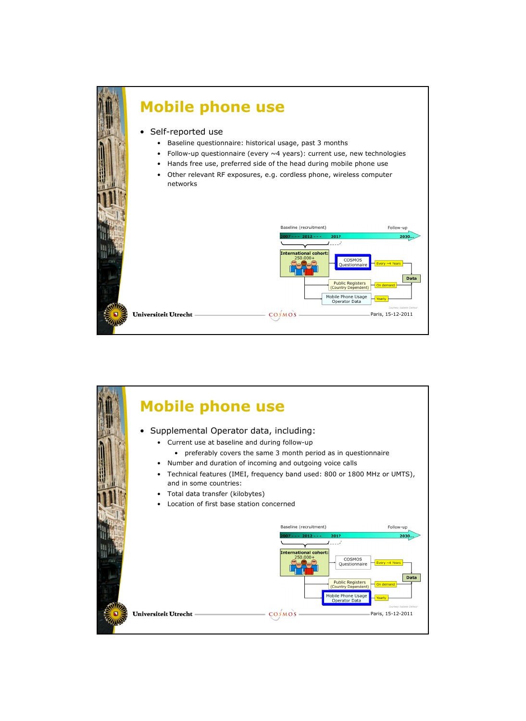

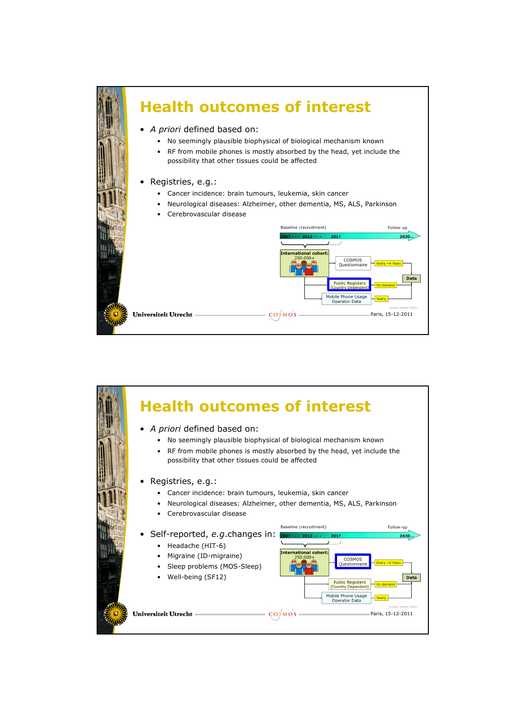

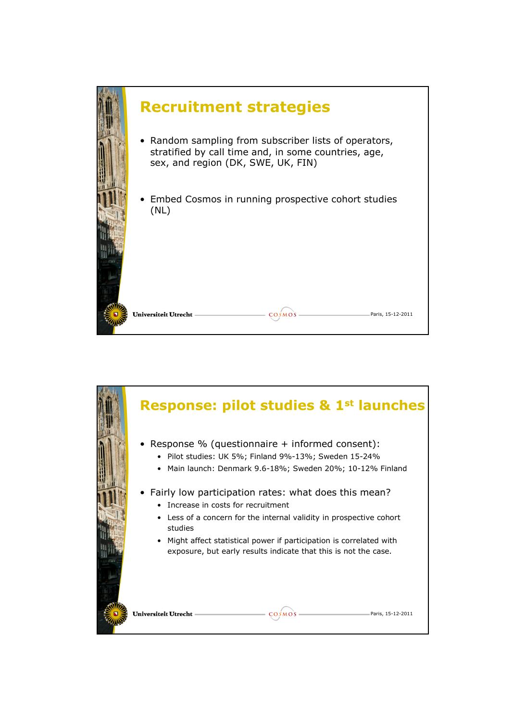

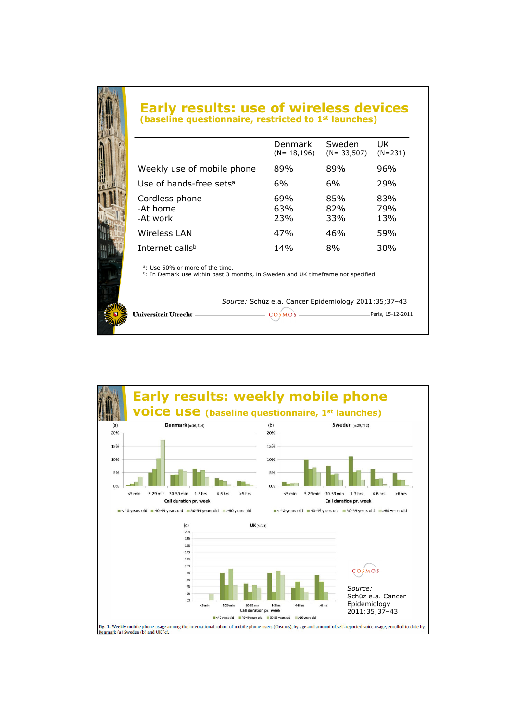# Early results: use of wireless devices (baseline questionnaire, restricted to 1<sup>st</sup> launches)

|                                        | Denmark<br>$(N = 18, 196)$ | Sweden<br>$(N = 33,507)$ | UK<br>$(N=231)$   |
|----------------------------------------|----------------------------|--------------------------|-------------------|
| Weekly use of mobile phone             | 89%                        | 89%                      | 96%               |
| Use of hands-free sets <sup>a</sup>    | 6%                         | 6%                       | 29%               |
| Cordless phone<br>-At home<br>-At work | 69%<br>63%<br>23%          | 85%<br>82%<br>33%        | 83%<br>79%<br>13% |
| Wireless LAN                           | 47%                        | 46%                      | 59%               |
| Internet calls <sup>b</sup>            | 14%                        | 8%                       | 30%               |
|                                        |                            |                          |                   |

<sup>a</sup>: Use 50% or more of the time.<br><sup>b</sup>: In Demark use within past 3 months, in Sweden and UK timeframe not specified.

#### Source: Schüz e.a. Cancer Epidemiology 2011:35;37–43

Paris, 15-12-2011 Universiteit Utrecht  $\overline{\cos}$ MOS –

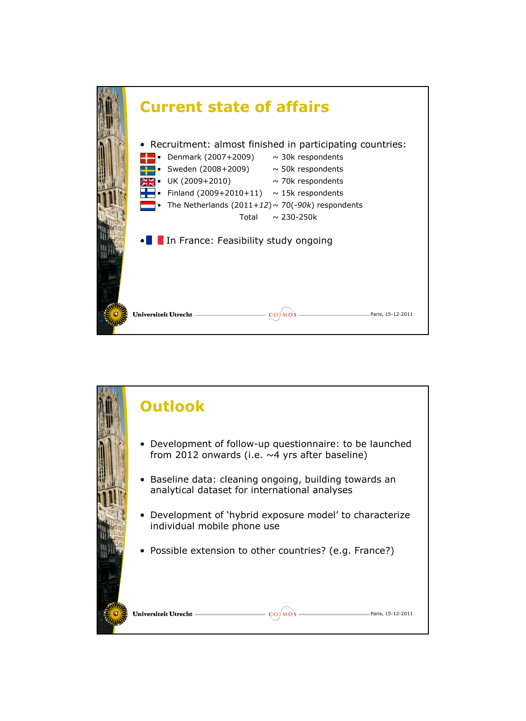